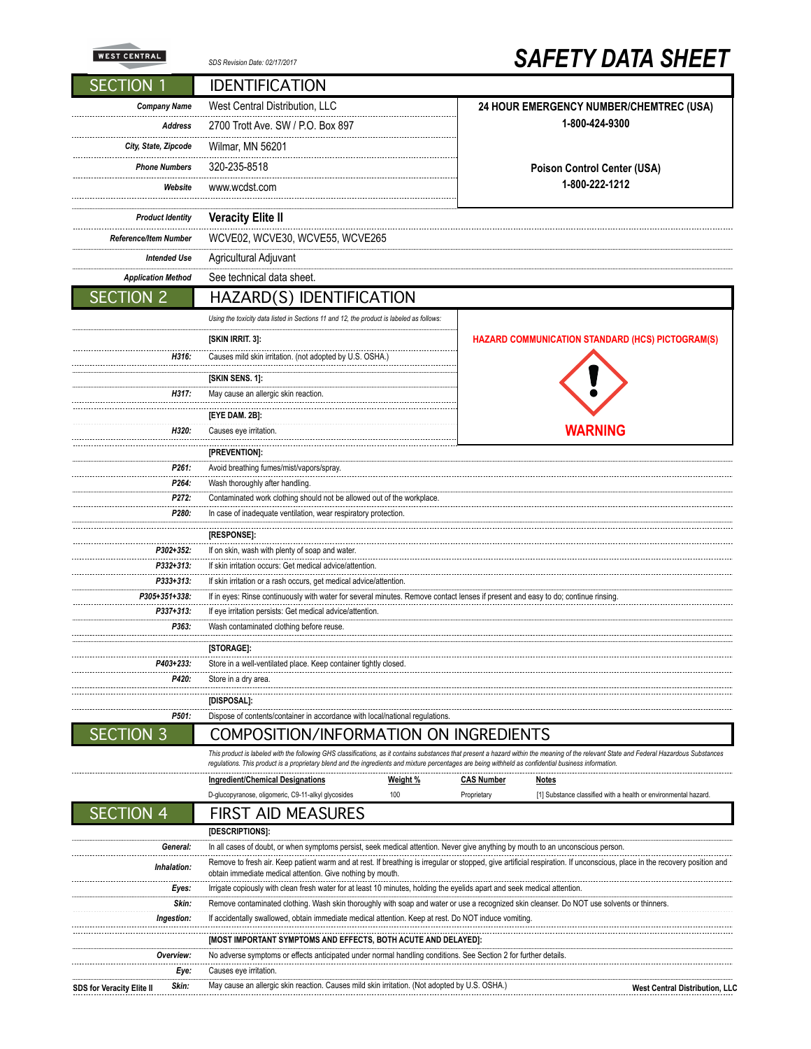| <b>ST CENTRAL</b>         | SDS Revision Date: 02/17/2017                                                            | <b>SAFETY DATA SHEET</b>                                |  |  |
|---------------------------|------------------------------------------------------------------------------------------|---------------------------------------------------------|--|--|
| CTION 1                   | <b>IDENTIFICATION</b>                                                                    |                                                         |  |  |
| <b>Company Name</b>       | West Central Distribution, LLC                                                           | 24 HOUR EMERGENCY NUMBER/CHEMTREC (USA)                 |  |  |
| <b>Address</b>            | 2700 Trott Ave. SW / P.O. Box 897                                                        | 1-800-424-9300                                          |  |  |
| City, State, Zipcode      | Wilmar, MN 56201                                                                         |                                                         |  |  |
| <b>Phone Numbers</b>      | 320-235-8518                                                                             | <b>Poison Control Center (USA)</b>                      |  |  |
| Website                   | www.wcdst.com                                                                            | 1-800-222-1212                                          |  |  |
| <b>Product Identity</b>   | <b>Veracity Elite II</b>                                                                 |                                                         |  |  |
| Reference/Item Number     | WCVE02, WCVE30, WCVE55, WCVE265                                                          |                                                         |  |  |
| <b>Intended Use</b>       | Agricultural Adjuvant                                                                    |                                                         |  |  |
| <b>Application Method</b> | See technical data sheet.                                                                |                                                         |  |  |
| <b>CTION 2</b>            | HAZARD(S) IDENTIFICATION                                                                 |                                                         |  |  |
|                           | Using the toxicity data listed in Sections 11 and 12, the product is labeled as follows: |                                                         |  |  |
|                           | [SKIN IRRIT. 3]:                                                                         | <b>HAZARD COMMUNICATION STANDARD (HCS) PICTOGRAM(S)</b> |  |  |
| H316:                     | Causes mild skin irritation. (not adopted by U.S. OSHA.)                                 |                                                         |  |  |
|                           | [SKIN SENS. 1]:                                                                          |                                                         |  |  |
| H317:                     | May cause an allergic skin reaction.                                                     |                                                         |  |  |
|                           | [EYE DAM. 2B]:                                                                           |                                                         |  |  |
|                           | Causes eye irritation.                                                                   | <b>WARNING</b>                                          |  |  |
| H320:                     |                                                                                          |                                                         |  |  |
|                           | [PREVENTION]:                                                                            |                                                         |  |  |
| P261:                     | Avoid breathing fumes/mist/vapors/spray.                                                 |                                                         |  |  |
| P264:                     | Wash thoroughly after handling.                                                          |                                                         |  |  |
| P272:                     | Contaminated work clothing should not be allowed out of the workplace.                   |                                                         |  |  |

*P332+313:*

*P305+351+338: P337+313: P363:*

*P302+352:* If on skin, wash with plenty of soap and water.

**[STORAGE]:**

*P420:* Store in a dry area. **[DISPOSAL]:**

**P333+313:** If skin irritation or a rash occurs, get medical advice/attention.

If skin irritation occurs: Get medical advice/attention.

If eye irritation persists: Get medical advice/attention. Wash contaminated clothing before reuse.

*P403+233:* Store in a well-ventilated place. Keep container tightly closed.

*P501:* Dispose of contents/container in accordance with local/national regulations.

**SECT** 

**WEST CE** 

**SECTI** 

. . . . . . . . . . . . . . . . . . . .

....................

. . . . . . . . . . . . . . . . . .

SECTION 3 COMPOSITION/INFORMATION ON INGREDIENTS This product is labeled with the following GHS classifications, as it contains substances that present a hazard within the meaning of the relevant State and Federal Hazardous Substances<br>regulations. This product is a propr

|                                                                                                                                                     |             | regulations. This product is a proprietary biend and the ingredients and mixture percentages are being withheid as conndential business information                                                                                     |          |                   |                                                                 |  |
|-----------------------------------------------------------------------------------------------------------------------------------------------------|-------------|-----------------------------------------------------------------------------------------------------------------------------------------------------------------------------------------------------------------------------------------|----------|-------------------|-----------------------------------------------------------------|--|
|                                                                                                                                                     |             | Ingredient/Chemical Designations                                                                                                                                                                                                        | Weight % | <b>CAS Number</b> | Notes                                                           |  |
|                                                                                                                                                     |             | D-glucopyranose, oligomeric, C9-11-alkyl glycosides                                                                                                                                                                                     | 100      | Proprietary       | [1] Substance classified with a health or environmental hazard. |  |
| <b>SECTION 4</b>                                                                                                                                    |             | <b>FIRST AID MEASURES</b>                                                                                                                                                                                                               |          |                   |                                                                 |  |
|                                                                                                                                                     |             | [DESCRIPTIONS]:                                                                                                                                                                                                                         |          |                   |                                                                 |  |
|                                                                                                                                                     | General:    | In all cases of doubt, or when symptoms persist, seek medical attention. Never give anything by mouth to an unconscious person.                                                                                                         |          |                   |                                                                 |  |
|                                                                                                                                                     | Inhalation: | Remove to fresh air. Keep patient warm and at rest. If breathing is irregular or stopped, give artificial respiration. If unconscious, place in the recovery position and<br>obtain immediate medical attention. Give nothing by mouth. |          |                   |                                                                 |  |
|                                                                                                                                                     | Eyes:       | Irrigate copiously with clean fresh water for at least 10 minutes, holding the eyelids apart and seek medical attention.                                                                                                                |          |                   |                                                                 |  |
| Remove contaminated clothing. Wash skin thoroughly with soap and water or use a recognized skin cleanser. Do NOT use solvents or thinners.<br>Skin: |             |                                                                                                                                                                                                                                         |          |                   |                                                                 |  |
|                                                                                                                                                     | Ingestion:  | If accidentally swallowed, obtain immediate medical attention. Keep at rest. Do NOT induce vomiting.                                                                                                                                    |          |                   |                                                                 |  |
|                                                                                                                                                     |             | <b>[MOST IMPORTANT SYMPTOMS AND EFFECTS, BOTH ACUTE AND DELAYED]:</b>                                                                                                                                                                   |          |                   |                                                                 |  |
|                                                                                                                                                     | Overview:   | No adverse symptoms or effects anticipated under normal handling conditions. See Section 2 for further details.                                                                                                                         |          |                   |                                                                 |  |
|                                                                                                                                                     | Eye:        | Causes eye irritation.                                                                                                                                                                                                                  |          |                   |                                                                 |  |
| SDS for Veracity Elite II                                                                                                                           | Skin:       | May cause an allergic skin reaction. Causes mild skin irritation. (Not adopted by U.S. OSHA.)                                                                                                                                           |          |                   | West Central Distribution, LL                                   |  |

If in eyes: Rinse continuously with water for several minutes. Remove contact lenses if present and easy to do; continue rinsing.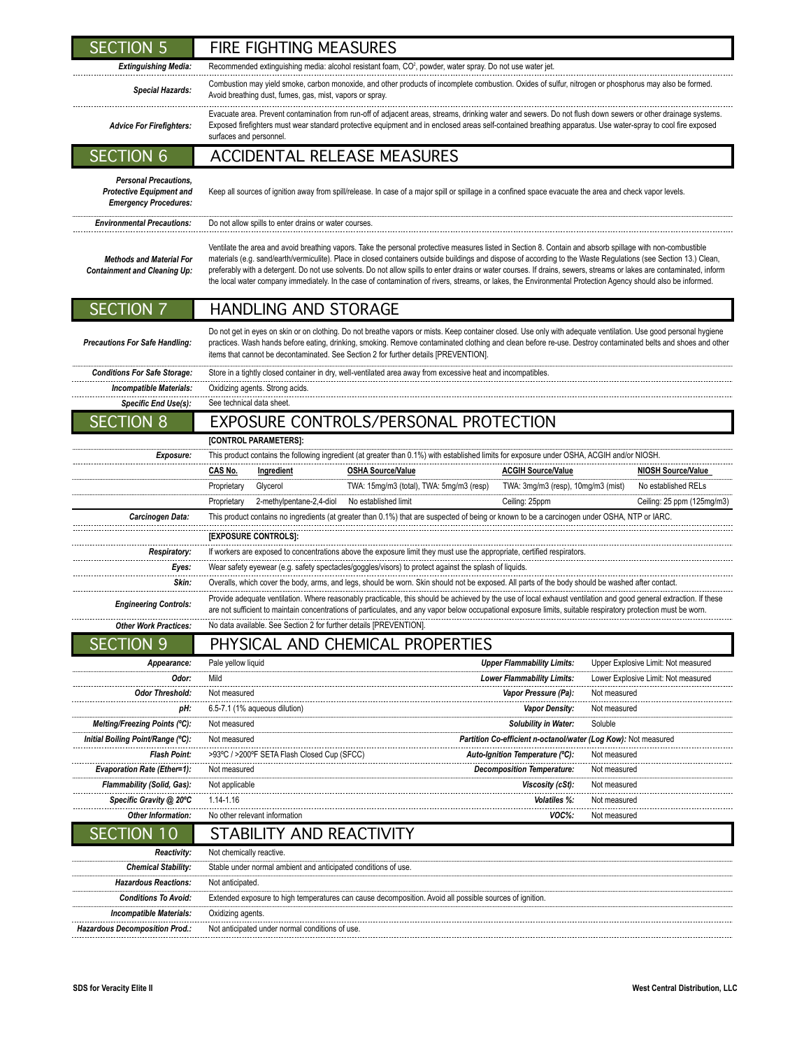| <b>SECTION 5</b>                                                                                | <b>FIRE FIGHTING MEASURES</b>                                                                                                                                                                                                                                                                                                                                                                                                                                                                                                                                                                                                                                          |                                                                                                                                                                                                                                                                                                                                     |                                                                                                                                                   |                                           |  |  |
|-------------------------------------------------------------------------------------------------|------------------------------------------------------------------------------------------------------------------------------------------------------------------------------------------------------------------------------------------------------------------------------------------------------------------------------------------------------------------------------------------------------------------------------------------------------------------------------------------------------------------------------------------------------------------------------------------------------------------------------------------------------------------------|-------------------------------------------------------------------------------------------------------------------------------------------------------------------------------------------------------------------------------------------------------------------------------------------------------------------------------------|---------------------------------------------------------------------------------------------------------------------------------------------------|-------------------------------------------|--|--|
| <b>Extinguishing Media:</b>                                                                     | Recommended extinguishing media: alcohol resistant foam, CO <sup>2</sup> , powder, water spray. Do not use water jet.                                                                                                                                                                                                                                                                                                                                                                                                                                                                                                                                                  |                                                                                                                                                                                                                                                                                                                                     |                                                                                                                                                   |                                           |  |  |
| <b>Special Hazards:</b>                                                                         | Combustion may yield smoke, carbon monoxide, and other products of incomplete combustion. Oxides of sulfur, nitrogen or phosphorus may also be formed.<br>Avoid breathing dust, fumes, gas, mist, vapors or spray.                                                                                                                                                                                                                                                                                                                                                                                                                                                     |                                                                                                                                                                                                                                                                                                                                     |                                                                                                                                                   |                                           |  |  |
| <b>Advice For Firefighters:</b>                                                                 | Evacuate area. Prevent contamination from run-off of adjacent areas, streams, drinking water and sewers. Do not flush down sewers or other drainage systems.<br>Exposed firefighters must wear standard protective equipment and in enclosed areas self-contained breathing apparatus. Use water-spray to cool fire exposed<br>surfaces and personnel.                                                                                                                                                                                                                                                                                                                 |                                                                                                                                                                                                                                                                                                                                     |                                                                                                                                                   |                                           |  |  |
| <b>SECTION 6</b>                                                                                | <b>ACCIDENTAL RELEASE MEASURES</b>                                                                                                                                                                                                                                                                                                                                                                                                                                                                                                                                                                                                                                     |                                                                                                                                                                                                                                                                                                                                     |                                                                                                                                                   |                                           |  |  |
| <b>Personal Precautions,</b><br><b>Protective Equipment and</b><br><b>Emergency Procedures:</b> | Keep all sources of ignition away from spill/release. In case of a major spill or spillage in a confined space evacuate the area and check vapor levels.                                                                                                                                                                                                                                                                                                                                                                                                                                                                                                               |                                                                                                                                                                                                                                                                                                                                     |                                                                                                                                                   |                                           |  |  |
| <b>Environmental Precautions:</b>                                                               | Do not allow spills to enter drains or water courses.                                                                                                                                                                                                                                                                                                                                                                                                                                                                                                                                                                                                                  |                                                                                                                                                                                                                                                                                                                                     |                                                                                                                                                   |                                           |  |  |
| <b>Methods and Material For</b><br><b>Containment and Cleaning Up:</b>                          | Ventilate the area and avoid breathing vapors. Take the personal protective measures listed in Section 8. Contain and absorb spillage with non-combustible<br>materials (e.g. sand/earth/vermiculite). Place in closed containers outside buildings and dispose of according to the Waste Regulations (see Section 13.) Clean,<br>preferably with a detergent. Do not use solvents. Do not allow spills to enter drains or water courses. If drains, sewers, streams or lakes are contaminated, inform<br>the local water company immediately. In the case of contamination of rivers, streams, or lakes, the Environmental Protection Agency should also be informed. |                                                                                                                                                                                                                                                                                                                                     |                                                                                                                                                   |                                           |  |  |
| <b>SECTION 7</b>                                                                                | <b>HANDLING AND STORAGE</b>                                                                                                                                                                                                                                                                                                                                                                                                                                                                                                                                                                                                                                            |                                                                                                                                                                                                                                                                                                                                     |                                                                                                                                                   |                                           |  |  |
| <b>Precautions For Safe Handling:</b>                                                           | Do not get in eyes on skin or on clothing. Do not breathe vapors or mists. Keep container closed. Use only with adequate ventilation. Use good personal hygiene<br>practices. Wash hands before eating, drinking, smoking. Remove contaminated clothing and clean before re-use. Destroy contaminated belts and shoes and other<br>items that cannot be decontaminated. See Section 2 for further details [PREVENTION].                                                                                                                                                                                                                                                |                                                                                                                                                                                                                                                                                                                                     |                                                                                                                                                   |                                           |  |  |
| <b>Conditions For Safe Storage:</b>                                                             |                                                                                                                                                                                                                                                                                                                                                                                                                                                                                                                                                                                                                                                                        | Store in a tightly closed container in dry, well-ventilated area away from excessive heat and incompatibles.                                                                                                                                                                                                                        |                                                                                                                                                   |                                           |  |  |
| <b>Incompatible Materials:</b>                                                                  | Oxidizing agents. Strong acids.                                                                                                                                                                                                                                                                                                                                                                                                                                                                                                                                                                                                                                        |                                                                                                                                                                                                                                                                                                                                     |                                                                                                                                                   |                                           |  |  |
| Specific End Use(s):                                                                            | See technical data sheet.                                                                                                                                                                                                                                                                                                                                                                                                                                                                                                                                                                                                                                              |                                                                                                                                                                                                                                                                                                                                     |                                                                                                                                                   |                                           |  |  |
| <b>SECTION 8</b>                                                                                | EXPOSURE CONTROLS/PERSONAL PROTECTION                                                                                                                                                                                                                                                                                                                                                                                                                                                                                                                                                                                                                                  |                                                                                                                                                                                                                                                                                                                                     |                                                                                                                                                   |                                           |  |  |
|                                                                                                 | [CONTROL PARAMETERS]:                                                                                                                                                                                                                                                                                                                                                                                                                                                                                                                                                                                                                                                  |                                                                                                                                                                                                                                                                                                                                     |                                                                                                                                                   |                                           |  |  |
| Exposure:                                                                                       |                                                                                                                                                                                                                                                                                                                                                                                                                                                                                                                                                                                                                                                                        |                                                                                                                                                                                                                                                                                                                                     | This product contains the following ingredient (at greater than 0.1%) with established limits for exposure under OSHA, ACGIH and/or NIOSH.        |                                           |  |  |
|                                                                                                 | CAS No.<br>Ingredient<br>Proprietary<br>Glycerol                                                                                                                                                                                                                                                                                                                                                                                                                                                                                                                                                                                                                       | <b>OSHA Source/Value</b><br>TWA: 15mg/m3 (total), TWA: 5mg/m3 (resp)                                                                                                                                                                                                                                                                | <b>ACGIH Source/Value</b><br>TWA: 3mg/m3 (resp), 10mg/m3 (mist)                                                                                   | NIOSH Source/Value<br>No established RELs |  |  |
|                                                                                                 | 2-methylpentane-2,4-diol<br>Proprietary                                                                                                                                                                                                                                                                                                                                                                                                                                                                                                                                                                                                                                | No established limit                                                                                                                                                                                                                                                                                                                | Ceiling: 25ppm                                                                                                                                    | Ceiling: 25 ppm (125mg/m3)                |  |  |
| Carcinogen Data:                                                                                |                                                                                                                                                                                                                                                                                                                                                                                                                                                                                                                                                                                                                                                                        |                                                                                                                                                                                                                                                                                                                                     | This product contains no ingredients (at greater than 0.1%) that are suspected of being or known to be a carcinogen under OSHA, NTP or IARC.      |                                           |  |  |
|                                                                                                 | [EXPOSURE CONTROLS]:                                                                                                                                                                                                                                                                                                                                                                                                                                                                                                                                                                                                                                                   |                                                                                                                                                                                                                                                                                                                                     |                                                                                                                                                   |                                           |  |  |
| <b>Respiratory:</b>                                                                             |                                                                                                                                                                                                                                                                                                                                                                                                                                                                                                                                                                                                                                                                        |                                                                                                                                                                                                                                                                                                                                     | If workers are exposed to concentrations above the exposure limit they must use the appropriate, certified respirators.                           |                                           |  |  |
| Eyes:                                                                                           | Wear safety eyewear (e.g. safety spectacles/goggles/visors) to protect against the splash of liquids.                                                                                                                                                                                                                                                                                                                                                                                                                                                                                                                                                                  |                                                                                                                                                                                                                                                                                                                                     |                                                                                                                                                   |                                           |  |  |
| Skin:                                                                                           |                                                                                                                                                                                                                                                                                                                                                                                                                                                                                                                                                                                                                                                                        |                                                                                                                                                                                                                                                                                                                                     | Overalls, which cover the body, arms, and legs, should be worn. Skin should not be exposed. All parts of the body should be washed after contact. |                                           |  |  |
| <b>Engineering Controls:</b>                                                                    |                                                                                                                                                                                                                                                                                                                                                                                                                                                                                                                                                                                                                                                                        | Provide adequate ventilation. Where reasonably practicable, this should be achieved by the use of local exhaust ventilation and good general extraction. If these<br>are not sufficient to maintain concentrations of particulates, and any vapor below occupational exposure limits, suitable respiratory protection must be worn. |                                                                                                                                                   |                                           |  |  |
| <b>Other Work Practices:</b>                                                                    |                                                                                                                                                                                                                                                                                                                                                                                                                                                                                                                                                                                                                                                                        | No data available. See Section 2 for further details [PREVENTION].                                                                                                                                                                                                                                                                  |                                                                                                                                                   |                                           |  |  |
| <b>SECTION 9</b>                                                                                | PHYSICAL AND CHEMICAL PROPERTIES                                                                                                                                                                                                                                                                                                                                                                                                                                                                                                                                                                                                                                       |                                                                                                                                                                                                                                                                                                                                     |                                                                                                                                                   |                                           |  |  |
| Appearance:                                                                                     | Pale yellow liquid                                                                                                                                                                                                                                                                                                                                                                                                                                                                                                                                                                                                                                                     |                                                                                                                                                                                                                                                                                                                                     | <b>Upper Flammability Limits:</b>                                                                                                                 | Upper Explosive Limit: Not measured       |  |  |
| Odor:                                                                                           | Mild                                                                                                                                                                                                                                                                                                                                                                                                                                                                                                                                                                                                                                                                   |                                                                                                                                                                                                                                                                                                                                     | Lower Flammability Limits:                                                                                                                        | Lower Explosive Limit: Not measured       |  |  |
| Odor Threshold:                                                                                 | Not measured                                                                                                                                                                                                                                                                                                                                                                                                                                                                                                                                                                                                                                                           |                                                                                                                                                                                                                                                                                                                                     | Vapor Pressure (Pa):                                                                                                                              | Not measured                              |  |  |
| pH:                                                                                             | 6.5-7.1 (1% aqueous dilution)                                                                                                                                                                                                                                                                                                                                                                                                                                                                                                                                                                                                                                          |                                                                                                                                                                                                                                                                                                                                     | Vapor Density:                                                                                                                                    | Not measured                              |  |  |
| Melting/Freezing Points (°C):                                                                   | Not measured                                                                                                                                                                                                                                                                                                                                                                                                                                                                                                                                                                                                                                                           |                                                                                                                                                                                                                                                                                                                                     | Solubility in Water:                                                                                                                              | Soluble                                   |  |  |
| Initial Boiling Point/Range (°C):<br><b>Flash Point:</b>                                        | Not measured<br>>93°C / >200°F SETA Flash Closed Cup (SFCC)                                                                                                                                                                                                                                                                                                                                                                                                                                                                                                                                                                                                            |                                                                                                                                                                                                                                                                                                                                     | Partition Co-efficient n-octanol/water (Log Kow): Not measured<br>Auto-Ignition Temperature (°C):                                                 | Not measured                              |  |  |
| Evaporation Rate (Ether=1):                                                                     | Not measured                                                                                                                                                                                                                                                                                                                                                                                                                                                                                                                                                                                                                                                           |                                                                                                                                                                                                                                                                                                                                     | <b>Decomposition Temperature:</b>                                                                                                                 | Not measured                              |  |  |
| <b>Flammability (Solid, Gas):</b>                                                               | Not applicable                                                                                                                                                                                                                                                                                                                                                                                                                                                                                                                                                                                                                                                         |                                                                                                                                                                                                                                                                                                                                     | Viscosity (cSt):                                                                                                                                  | Not measured                              |  |  |
| Specific Gravity @ 20°C                                                                         | 1.14-1.16                                                                                                                                                                                                                                                                                                                                                                                                                                                                                                                                                                                                                                                              |                                                                                                                                                                                                                                                                                                                                     | Volatiles %:                                                                                                                                      | Not measured                              |  |  |
| Other Information:                                                                              | No other relevant information                                                                                                                                                                                                                                                                                                                                                                                                                                                                                                                                                                                                                                          |                                                                                                                                                                                                                                                                                                                                     | VOC%:                                                                                                                                             | Not measured                              |  |  |
| SECTION 10                                                                                      | STABILITY AND REACTIVITY                                                                                                                                                                                                                                                                                                                                                                                                                                                                                                                                                                                                                                               |                                                                                                                                                                                                                                                                                                                                     |                                                                                                                                                   |                                           |  |  |
| <b>Reactivity:</b>                                                                              | Not chemically reactive.                                                                                                                                                                                                                                                                                                                                                                                                                                                                                                                                                                                                                                               |                                                                                                                                                                                                                                                                                                                                     |                                                                                                                                                   |                                           |  |  |
| <b>Chemical Stability:</b>                                                                      | Stable under normal ambient and anticipated conditions of use.                                                                                                                                                                                                                                                                                                                                                                                                                                                                                                                                                                                                         |                                                                                                                                                                                                                                                                                                                                     |                                                                                                                                                   |                                           |  |  |
| <b>Hazardous Reactions:</b>                                                                     | Not anticipated.                                                                                                                                                                                                                                                                                                                                                                                                                                                                                                                                                                                                                                                       |                                                                                                                                                                                                                                                                                                                                     |                                                                                                                                                   |                                           |  |  |
| <b>Conditions To Avoid:</b>                                                                     | Extended exposure to high temperatures can cause decomposition. Avoid all possible sources of ignition.                                                                                                                                                                                                                                                                                                                                                                                                                                                                                                                                                                |                                                                                                                                                                                                                                                                                                                                     |                                                                                                                                                   |                                           |  |  |
| <b>Incompatible Materials:</b>                                                                  | Oxidizing agents.                                                                                                                                                                                                                                                                                                                                                                                                                                                                                                                                                                                                                                                      |                                                                                                                                                                                                                                                                                                                                     |                                                                                                                                                   |                                           |  |  |
| Hazardous Decomposition Prod.:                                                                  | Not anticipated under normal conditions of use.                                                                                                                                                                                                                                                                                                                                                                                                                                                                                                                                                                                                                        |                                                                                                                                                                                                                                                                                                                                     |                                                                                                                                                   |                                           |  |  |